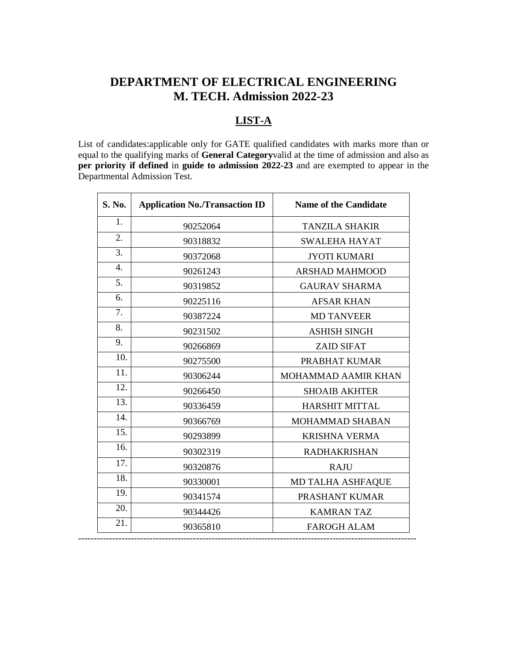# **DEPARTMENT OF ELECTRICAL ENGINEERING M. TECH. Admission 2022-23**

## **LIST-A**

List of candidates:applicable only for GATE qualified candidates with marks more than or equal to the qualifying marks of **General Category**valid at the time of admission and also as **per priority if defined** in **guide to admission 2022-23** and are exempted to appear in the Departmental Admission Test.

| S. No.           | <b>Application No./Transaction ID</b> | <b>Name of the Candidate</b> |
|------------------|---------------------------------------|------------------------------|
| 1.               | 90252064                              | <b>TANZILA SHAKIR</b>        |
| 2.               | 90318832                              | <b>SWALEHA HAYAT</b>         |
| 3.               | 90372068                              | <b>JYOTI KUMARI</b>          |
| $\overline{4}$ . | 90261243                              | <b>ARSHAD MAHMOOD</b>        |
| 5.               | 90319852                              | <b>GAURAV SHARMA</b>         |
| 6.               | 90225116                              | <b>AFSAR KHAN</b>            |
| 7.               | 90387224                              | <b>MD TANVEER</b>            |
| 8.               | 90231502                              | <b>ASHISH SINGH</b>          |
| 9.               | 90266869                              | <b>ZAID SIFAT</b>            |
| 10.              | 90275500                              | PRABHAT KUMAR                |
| 11.              | 90306244                              | <b>MOHAMMAD AAMIR KHAN</b>   |
| 12.              | 90266450                              | <b>SHOAIB AKHTER</b>         |
| 13.              | 90336459                              | <b>HARSHIT MITTAL</b>        |
| 14.              | 90366769                              | MOHAMMAD SHABAN              |
| 15.              | 90293899                              | <b>KRISHNA VERMA</b>         |
| 16.              | 90302319                              | <b>RADHAKRISHAN</b>          |
| 17.              | 90320876                              | <b>RAJU</b>                  |
| 18.              | 90330001                              | MD TALHA ASHFAQUE            |
| 19.              | 90341574                              | PRASHANT KUMAR               |
| 20.              | 90344426                              | <b>KAMRAN TAZ</b>            |
| 21.              | 90365810                              | <b>FAROGH ALAM</b>           |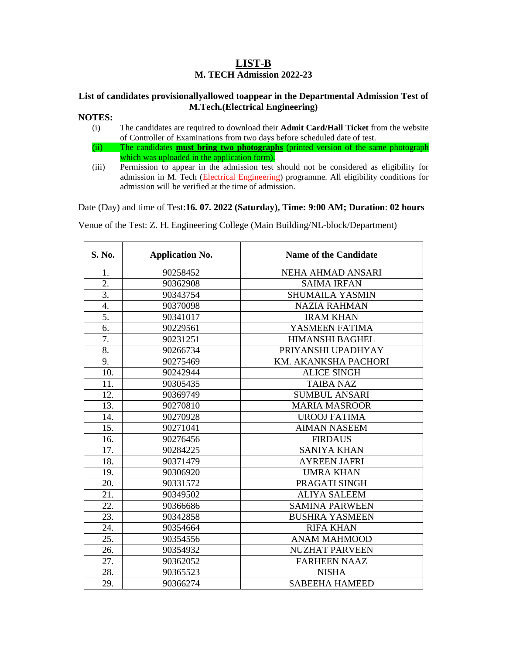### **LIST-B M. TECH Admission 2022-23**

#### **List of candidates provisionallyallowed toappear in the Departmental Admission Test of M.Tech.(Electrical Engineering)**

#### **NOTES:**

- (i) The candidates are required to download their **Admit Card/Hall Ticket** from the website of Controller of Examinations from two days before scheduled date of test.
- (ii) The candidates **must bring two photographs** (printed version of the same photograph which was uploaded in the application form).
- (iii) Permission to appear in the admission test should not be considered as eligibility for admission in M. Tech (Electrical Engineering) programme. All eligibility conditions for admission will be verified at the time of admission.

Date (Day) and time of Test:**16. 07. 2022 (Saturday), Time: 9:00 AM; Duration**: **02 hours** 

Venue of the Test: Z. H. Engineering College (Main Building/NL-block/Department)

| S. No.           | <b>Application No.</b> | <b>Name of the Candidate</b> |
|------------------|------------------------|------------------------------|
| 1.               | 90258452               | NEHA AHMAD ANSARI            |
| 2.               | 90362908               | <b>SAIMA IRFAN</b>           |
| $\overline{3}$ . | 90343754               | <b>SHUMAILA YASMIN</b>       |
| 4.               | 90370098               | <b>NAZIA RAHMAN</b>          |
| 5.               | 90341017               | <b>IRAM KHAN</b>             |
| 6.               | 90229561               | YASMEEN FATIMA               |
| 7.               | 90231251               | <b>HIMANSHI BAGHEL</b>       |
| 8.               | 90266734               | PRIYANSHI UPADHYAY           |
| 9.               | 90275469               | KM. AKANKSHA PACHORI         |
| 10.              | 90242944               | <b>ALICE SINGH</b>           |
| 11.              | 90305435               | <b>TAIBA NAZ</b>             |
| 12.              | 90369749               | <b>SUMBUL ANSARI</b>         |
| 13.              | 90270810               | <b>MARIA MASROOR</b>         |
| 14.              | 90270928               | <b>UROOJ FATIMA</b>          |
| 15.              | 90271041               | <b>AIMAN NASEEM</b>          |
| 16.              | 90276456               | <b>FIRDAUS</b>               |
| 17.              | 90284225               | <b>SANIYA KHAN</b>           |
| 18.              | 90371479               | <b>AYREEN JAFRI</b>          |
| 19.              | 90306920               | <b>UMRA KHAN</b>             |
| 20.              | 90331572               | PRAGATI SINGH                |
| 21.              | 90349502               | <b>ALIYA SALEEM</b>          |
| 22.              | 90366686               | <b>SAMINA PARWEEN</b>        |
| 23.              | 90342858               | <b>BUSHRA YASMEEN</b>        |
| 24.              | 90354664               | <b>RIFA KHAN</b>             |
| 25.              | 90354556               | <b>ANAM MAHMOOD</b>          |
| 26.              | 90354932               | <b>NUZHAT PARVEEN</b>        |
| 27.              | 90362052               | <b>FARHEEN NAAZ</b>          |
| 28.              | 90365523               | <b>NISHA</b>                 |
| 29.              | 90366274               | <b>SABEEHA HAMEED</b>        |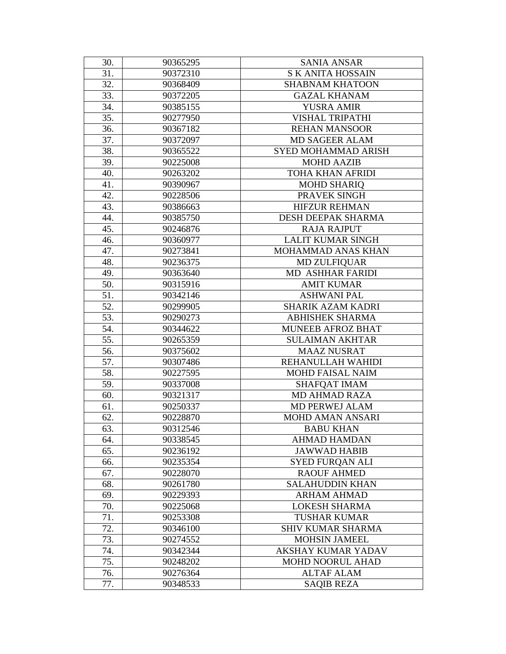| 30. | 90365295 | <b>SANIA ANSAR</b>        |
|-----|----------|---------------------------|
| 31. | 90372310 | <b>SK ANITA HOSSAIN</b>   |
| 32. | 90368409 | <b>SHABNAM KHATOON</b>    |
| 33. | 90372205 | <b>GAZAL KHANAM</b>       |
| 34. | 90385155 | <b>YUSRA AMIR</b>         |
| 35. | 90277950 | <b>VISHAL TRIPATHI</b>    |
| 36. | 90367182 | <b>REHAN MANSOOR</b>      |
| 37. | 90372097 | MD SAGEER ALAM            |
| 38. | 90365522 | SYED MOHAMMAD ARISH       |
| 39. | 90225008 | <b>MOHD AAZIB</b>         |
| 40. | 90263202 | <b>TOHA KHAN AFRIDI</b>   |
| 41. | 90390967 | <b>MOHD SHARIQ</b>        |
| 42. | 90228506 | PRAVEK SINGH              |
| 43. | 90386663 | <b>HIFZUR REHMAN</b>      |
| 44. | 90385750 | DESH DEEPAK SHARMA        |
| 45. | 90246876 | <b>RAJA RAJPUT</b>        |
| 46. | 90360977 | <b>LALIT KUMAR SINGH</b>  |
| 47. | 90273841 | MOHAMMAD ANAS KHAN        |
| 48. | 90236375 | <b>MD ZULFIQUAR</b>       |
| 49. | 90363640 | MD ASHHAR FARIDI          |
| 50. | 90315916 | <b>AMIT KUMAR</b>         |
| 51. | 90342146 | <b>ASHWANI PAL</b>        |
| 52. | 90299905 | SHARIK AZAM KADRI         |
| 53. | 90290273 | <b>ABHISHEK SHARMA</b>    |
| 54. | 90344622 | <b>MUNEEB AFROZ BHAT</b>  |
| 55. | 90265359 | <b>SULAIMAN AKHTAR</b>    |
| 56. | 90375602 | <b>MAAZ NUSRAT</b>        |
| 57. | 90307486 | REHANULLAH WAHIDI         |
| 58. | 90227595 | <b>MOHD FAISAL NAIM</b>   |
| 59. | 90337008 | <b>SHAFOAT IMAM</b>       |
| 60. | 90321317 | <b>MD AHMAD RAZA</b>      |
| 61. | 90250337 | MD PERWEJ ALAM            |
| 62. | 90228870 | <b>MOHD AMAN ANSARI</b>   |
| 63. | 90312546 | <b>BABU KHAN</b>          |
| 64. | 90338545 | <b>AHMAD HAMDAN</b>       |
| 65. | 90236192 | <b>JAWWAD HABIB</b>       |
| 66. | 90235354 | <b>SYED FURQAN ALI</b>    |
| 67. | 90228070 | <b>RAOUF AHMED</b>        |
| 68. | 90261780 | <b>SALAHUDDIN KHAN</b>    |
| 69. | 90229393 | <b>ARHAM AHMAD</b>        |
| 70. | 90225068 | <b>LOKESH SHARMA</b>      |
| 71. | 90253308 | <b>TUSHAR KUMAR</b>       |
| 72. | 90346100 | <b>SHIV KUMAR SHARMA</b>  |
| 73. | 90274552 | <b>MOHSIN JAMEEL</b>      |
| 74. | 90342344 | <b>AKSHAY KUMAR YADAV</b> |
| 75. | 90248202 | <b>MOHD NOORUL AHAD</b>   |
| 76. | 90276364 | <b>ALTAF ALAM</b>         |
| 77. | 90348533 | <b>SAQIB REZA</b>         |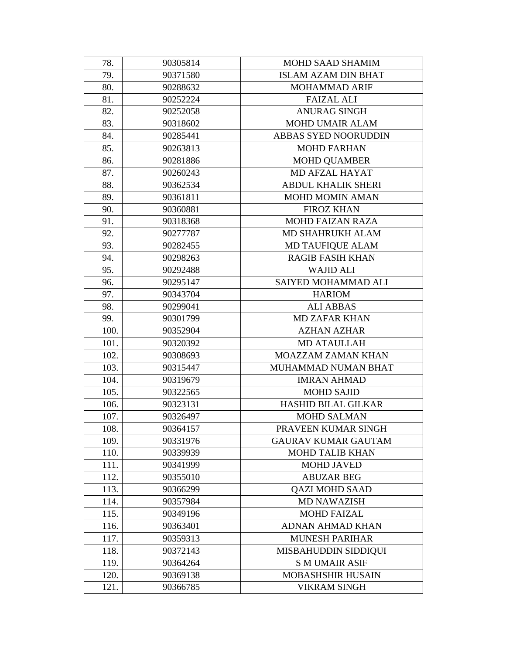| 78.  | 90305814 | MOHD SAAD SHAMIM            |
|------|----------|-----------------------------|
| 79.  | 90371580 | <b>ISLAM AZAM DIN BHAT</b>  |
| 80.  | 90288632 | <b>MOHAMMAD ARIF</b>        |
| 81.  | 90252224 | <b>FAIZAL ALI</b>           |
| 82.  | 90252058 | <b>ANURAG SINGH</b>         |
| 83.  | 90318602 | MOHD UMAIR ALAM             |
| 84.  | 90285441 | <b>ABBAS SYED NOORUDDIN</b> |
| 85.  | 90263813 | <b>MOHD FARHAN</b>          |
| 86.  | 90281886 | <b>MOHD QUAMBER</b>         |
| 87.  | 90260243 | MD AFZAL HAYAT              |
| 88.  | 90362534 | <b>ABDUL KHALIK SHERI</b>   |
| 89.  | 90361811 | MOHD MOMIN AMAN             |
| 90.  | 90360881 | <b>FIROZ KHAN</b>           |
| 91.  | 90318368 | <b>MOHD FAIZAN RAZA</b>     |
| 92.  | 90277787 | MD SHAHRUKH ALAM            |
| 93.  | 90282455 | <b>MD TAUFIQUE ALAM</b>     |
| 94.  | 90298263 | <b>RAGIB FASIH KHAN</b>     |
| 95.  | 90292488 | <b>WAJID ALI</b>            |
| 96.  | 90295147 | SAIYED MOHAMMAD ALI         |
| 97.  | 90343704 | <b>HARIOM</b>               |
| 98.  | 90299041 | <b>ALI ABBAS</b>            |
| 99.  | 90301799 | <b>MD ZAFAR KHAN</b>        |
| 100. | 90352904 | <b>AZHAN AZHAR</b>          |
| 101. | 90320392 | <b>MD ATAULLAH</b>          |
| 102. | 90308693 | MOAZZAM ZAMAN KHAN          |
| 103. | 90315447 | MUHAMMAD NUMAN BHAT         |
| 104. | 90319679 | <b>IMRAN AHMAD</b>          |
| 105. | 90322565 | <b>MOHD SAJID</b>           |
| 106. | 90323131 | <b>HASHID BILAL GILKAR</b>  |
| 107. | 90326497 | <b>MOHD SALMAN</b>          |
| 108. | 90364157 | PRAVEEN KUMAR SINGH         |
| 109. | 90331976 | <b>GAURAV KUMAR GAUTAM</b>  |
| 110. | 90339939 | <b>MOHD TALIB KHAN</b>      |
| 111. | 90341999 | <b>MOHD JAVED</b>           |
| 112. | 90355010 | <b>ABUZAR BEG</b>           |
| 113. | 90366299 | <b>QAZI MOHD SAAD</b>       |
| 114. | 90357984 | <b>MD NAWAZISH</b>          |
| 115. | 90349196 | <b>MOHD FAIZAL</b>          |
| 116. | 90363401 | <b>ADNAN AHMAD KHAN</b>     |
| 117. | 90359313 | <b>MUNESH PARIHAR</b>       |
| 118. | 90372143 | MISBAHUDDIN SIDDIQUI        |
| 119. | 90364264 | <b>S M UMAIR ASIF</b>       |
| 120. | 90369138 | MOBASHSHIR HUSAIN           |
| 121. | 90366785 | <b>VIKRAM SINGH</b>         |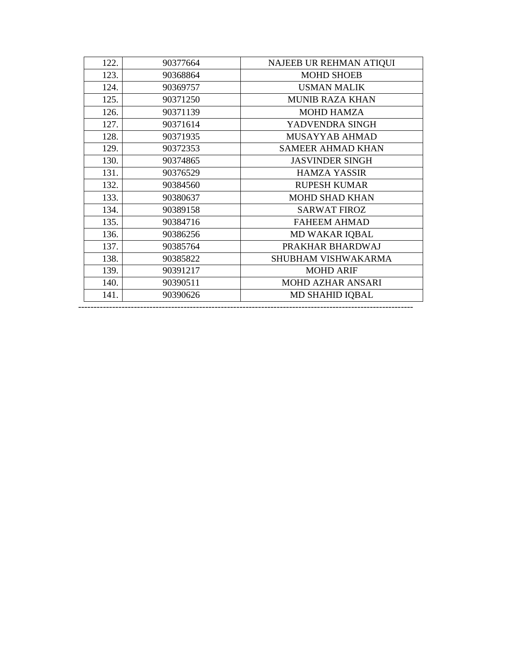| 122. | 90377664 | NAJEEB UR REHMAN ATIQUI  |
|------|----------|--------------------------|
| 123. | 90368864 | <b>MOHD SHOEB</b>        |
| 124. | 90369757 | <b>USMAN MALIK</b>       |
| 125. | 90371250 | <b>MUNIB RAZA KHAN</b>   |
| 126. | 90371139 | <b>MOHD HAMZA</b>        |
| 127. | 90371614 | YADVENDRA SINGH          |
| 128. | 90371935 | MUSAYYAB AHMAD           |
| 129. | 90372353 | <b>SAMEER AHMAD KHAN</b> |
| 130. | 90374865 | <b>JASVINDER SINGH</b>   |
| 131. | 90376529 | <b>HAMZA YASSIR</b>      |
| 132. | 90384560 | <b>RUPESH KUMAR</b>      |
| 133. | 90380637 | <b>MOHD SHAD KHAN</b>    |
| 134. | 90389158 | <b>SARWAT FIROZ</b>      |
| 135. | 90384716 | <b>FAHEEM AHMAD</b>      |
| 136. | 90386256 | MD WAKAR IQBAL           |
| 137. | 90385764 | PRAKHAR BHARDWAJ         |
| 138. | 90385822 | SHUBHAM VISHWAKARMA      |
| 139. | 90391217 | <b>MOHD ARIF</b>         |
| 140. | 90390511 | <b>MOHD AZHAR ANSARI</b> |
| 141. | 90390626 | <b>MD SHAHID IQBAL</b>   |
|      |          |                          |